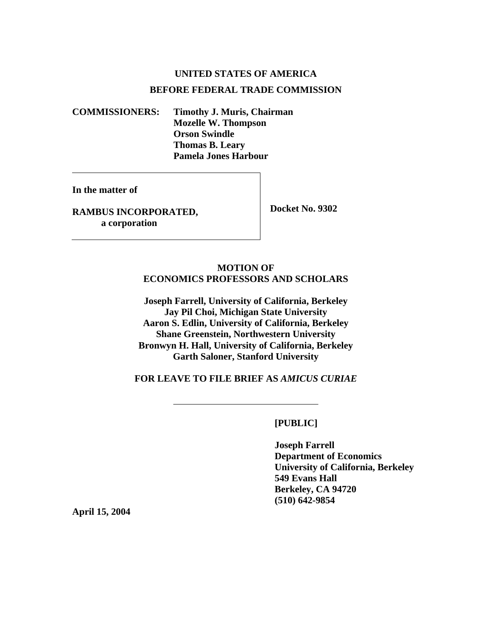## **UNITED STATES OF AMERICA BEFORE FEDERAL TRADE COMMISSION**

**COMMISSIONERS: Timothy J. Muris, Chairman Mozelle W. Thompson Orson Swindle Thomas B. Leary Pamela Jones Harbour** 

**In the matter of** 

**RAMBUS INCORPORATED, a corporation** 

 **Docket No. 9302** 

## **MOTION OF ECONOMICS PROFESSORS AND SCHOLARS**

**Joseph Farrell, University of California, Berkeley Jay Pil Choi, Michigan State University Aaron S. Edlin, University of California, Berkeley Shane Greenstein, Northwestern University Bronwyn H. Hall, University of California, Berkeley Garth Saloner, Stanford University** 

**FOR LEAVE TO FILE BRIEF AS** *AMICUS CURIAE* 

 **[PUBLIC]** 

 **Joseph Farrell Department of Economics University of California, Berkeley 549 Evans Hall Berkeley, CA 94720 (510) 642-9854**

**April 15, 2004**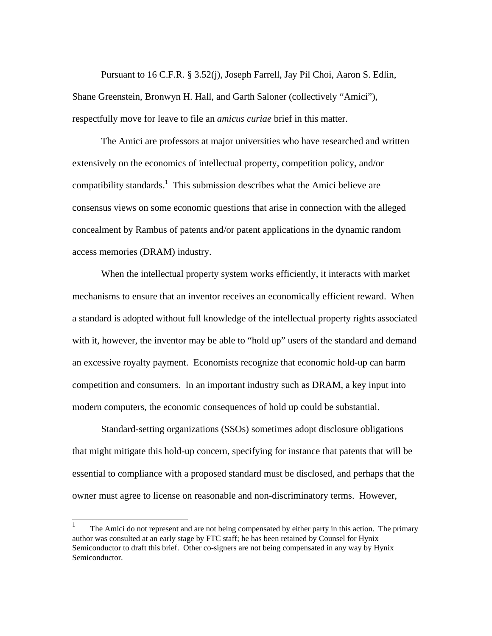Pursuant to 16 C.F.R. § 3.52(j), Joseph Farrell, Jay Pil Choi, Aaron S. Edlin, Shane Greenstein, Bronwyn H. Hall, and Garth Saloner (collectively "Amici"), respectfully move for leave to file an *amicus curiae* brief in this matter.

 The Amici are professors at major universities who have researched and written extensively on the economics of intellectual property, competition policy, and/or compatibility standards.<sup>1</sup> This submission describes what the Amici believe are consensus views on some economic questions that arise in connection with the alleged concealment by Rambus of patents and/or patent applications in the dynamic random access memories (DRAM) industry.

 When the intellectual property system works efficiently, it interacts with market mechanisms to ensure that an inventor receives an economically efficient reward. When a standard is adopted without full knowledge of the intellectual property rights associated with it, however, the inventor may be able to "hold up" users of the standard and demand an excessive royalty payment. Economists recognize that economic hold-up can harm competition and consumers. In an important industry such as DRAM, a key input into modern computers, the economic consequences of hold up could be substantial.

 Standard-setting organizations (SSOs) sometimes adopt disclosure obligations that might mitigate this hold-up concern, specifying for instance that patents that will be essential to compliance with a proposed standard must be disclosed, and perhaps that the owner must agree to license on reasonable and non-discriminatory terms. However,

<sup>1</sup> The Amici do not represent and are not being compensated by either party in this action. The primary author was consulted at an early stage by FTC staff; he has been retained by Counsel for Hynix Semiconductor to draft this brief. Other co-signers are not being compensated in any way by Hynix Semiconductor.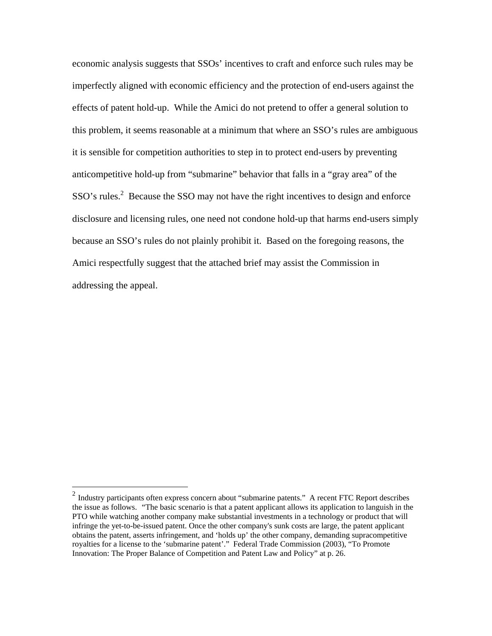economic analysis suggests that SSOs' incentives to craft and enforce such rules may be imperfectly aligned with economic efficiency and the protection of end-users against the effects of patent hold-up. While the Amici do not pretend to offer a general solution to this problem, it seems reasonable at a minimum that where an SSO's rules are ambiguous it is sensible for competition authorities to step in to protect end-users by preventing anticompetitive hold-up from "submarine" behavior that falls in a "gray area" of the  $SSO's rules.<sup>2</sup>$  Because the SSO may not have the right incentives to design and enforce disclosure and licensing rules, one need not condone hold-up that harms end-users simply because an SSO's rules do not plainly prohibit it. Based on the foregoing reasons, the Amici respectfully suggest that the attached brief may assist the Commission in addressing the appeal.

 $\overline{a}$ 

 $2$  Industry participants often express concern about "submarine patents." A recent FTC Report describes the issue as follows. "The basic scenario is that a patent applicant allows its application to languish in the PTO while watching another company make substantial investments in a technology or product that will infringe the yet-to-be-issued patent. Once the other company's sunk costs are large, the patent applicant obtains the patent, asserts infringement, and 'holds up' the other company, demanding supracompetitive royalties for a license to the 'submarine patent'." Federal Trade Commission (2003), "To Promote Innovation: The Proper Balance of Competition and Patent Law and Policy" at p. 26.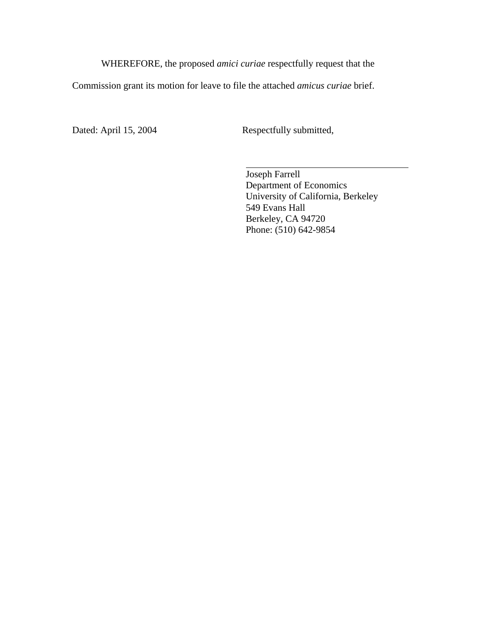WHEREFORE, the proposed *amici curiae* respectfully request that the

Commission grant its motion for leave to file the attached *amicus curiae* brief.

Dated: April 15, 2004 Respectfully submitted,

 Joseph Farrell Department of Economics University of California, Berkeley 549 Evans Hall Berkeley, CA 94720 Phone: (510) 642-9854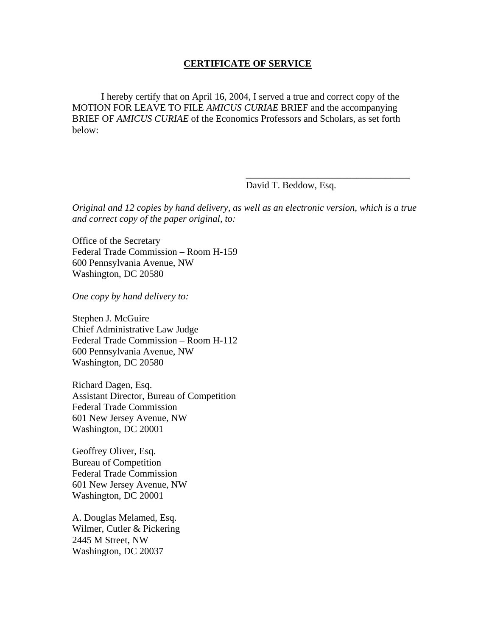## **CERTIFICATE OF SERVICE**

 I hereby certify that on April 16, 2004, I served a true and correct copy of the MOTION FOR LEAVE TO FILE *AMICUS CURIAE* BRIEF and the accompanying BRIEF OF *AMICUS CURIAE* of the Economics Professors and Scholars, as set forth below:

David T. Beddow, Esq.

*Original and 12 copies by hand delivery, as well as an electronic version, which is a true and correct copy of the paper original, to:* 

 $\overline{\phantom{a}}$  , which is a set of the set of the set of the set of the set of the set of the set of the set of the set of the set of the set of the set of the set of the set of the set of the set of the set of the set of th

Office of the Secretary Federal Trade Commission – Room H-159 600 Pennsylvania Avenue, NW Washington, DC 20580

*One copy by hand delivery to:* 

Stephen J. McGuire Chief Administrative Law Judge Federal Trade Commission – Room H-112 600 Pennsylvania Avenue, NW Washington, DC 20580

Richard Dagen, Esq. Assistant Director, Bureau of Competition Federal Trade Commission 601 New Jersey Avenue, NW Washington, DC 20001

Geoffrey Oliver, Esq. Bureau of Competition Federal Trade Commission 601 New Jersey Avenue, NW Washington, DC 20001

A. Douglas Melamed, Esq. Wilmer, Cutler & Pickering 2445 M Street, NW Washington, DC 20037